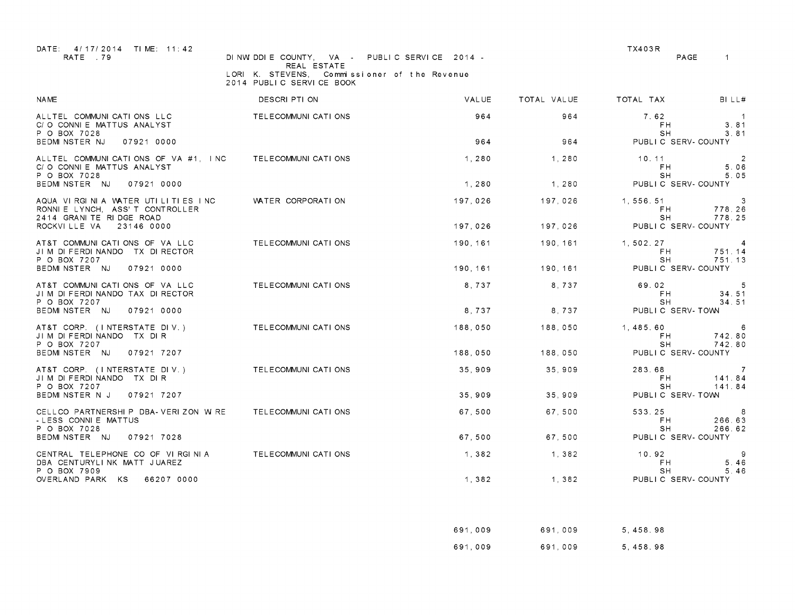| DATE: 4/17/2014 TIME: 11:42<br>RATE 79                                                         | DINWIDDIE COUNTY, VA - PUBLIC SERVICE 2014 -                |                             |             | TX403R<br>PAGE             | $\mathbf{1}$                       |
|------------------------------------------------------------------------------------------------|-------------------------------------------------------------|-----------------------------|-------------|----------------------------|------------------------------------|
|                                                                                                | REAL ESTATE<br>LORI K. STEVENS,<br>2014 PUBLIC SERVICE BOOK | Commissioner of the Revenue |             |                            |                                    |
| <b>NAME</b>                                                                                    | DESCRI PTI ON                                               | VALUE                       | TOTAL VALUE | TOTAL TAX                  | BILL#                              |
| ALLTEL COMMUNICATIONS LLC<br>C/O CONNIE MATTUS ANALYST<br>P O BOX 7028                         | TELECOMMUNI CATI ONS                                        | 964                         | 964         | 7.62<br>FH.<br>SH          | $\overline{1}$<br>3.81<br>3.81     |
| BEDMINSTER NJ<br>07921 0000                                                                    |                                                             | 964                         | 964         | PUBLIC SERV-COUNTY         |                                    |
| ALLTEL COMMUNICATIONS OF VA #1, INC<br>C/O CONNIE MATTUS ANALYST<br>P O BOX 7028               | TELECOMMUNI CATI ONS                                        | 1,280                       | 1.280       | 10.11<br>FH.<br>SH         | $\overline{2}$<br>5.06<br>5.05     |
| BEDMINSTER NJ<br>07921 0000                                                                    |                                                             | 1,280                       | 1,280       | PUBLIC SERV-COUNTY         |                                    |
| AQUA VIRGINIA WATER UTILITIES INC<br>RONNIE LYNCH, ASS'T CONTROLLER<br>2414 GRANITE RIDGE ROAD | WATER CORPORATION                                           | 197,026                     | 197,026     | 1, 556. 51<br>FH.<br>SH.   | 3<br>778.26<br>778.25              |
| 23146 0000<br>ROCKVILLE VA                                                                     |                                                             | 197,026                     | 197.026     | PUBLIC SERV-COUNTY         |                                    |
| AT&T COMMUNICATIONS OF VA LLC<br>JIM DIFERDINANDO TX DIRECTOR<br>P O BOX 7207                  | TELECOMMUNI CATI ONS                                        | 190,161                     | 190,161     | 1, 502, 27<br>FH.<br>SH    | $\overline{4}$<br>751.14<br>751.13 |
| BEDMINSTER NJ<br>07921 0000                                                                    |                                                             | 190, 161                    | 190, 161    | PUBLIC SERV-COUNTY         |                                    |
| AT&T COMMUNICATIONS OF VA LLC<br>JIM DI FERDI NANDO TAX DI RECTOR<br>P O BOX 7207              | TELECOMMUNI CATI ONS                                        | 8,737                       | 8.737       | 69.02<br>FH.<br>SH         | -5<br>34.51<br>34.51               |
| BEDMINSTER NJ<br>07921 0000                                                                    |                                                             | 8,737                       | 8,737       | PUBLIC SERV-TOWN           |                                    |
| AT&T CORP. (INTERSTATE DIV.)<br>JIM DIFERDINANDO TX DIR<br>P O BOX 7207                        | TELECOMMUNI CATI ONS                                        | 188,050                     | 188,050     | 1,485,60<br>FH.<br>SH.     | - 6<br>742.80<br>742.80            |
| BEDMINSTER NJ<br>07921 7207                                                                    |                                                             | 188.050                     | 188.050     | PUBLIC SERV-COUNTY         |                                    |
| AT&T CORP. (INTERSTATE DIV.)<br>JIM DIFERDINANDO TX DIR<br>P O BOX 7207                        | TELECOMMUNICATIONS                                          | 35,909                      | 35,909      | 283.68<br>FH.<br>SH        | $\overline{7}$<br>141.84<br>141.84 |
| BEDMINSTER N J<br>07921 7207                                                                   |                                                             | 35,909                      | 35,909      | PUBLIC SERV-TOWN           |                                    |
| CELLCO PARTNERSHIP DBA-VERIZON WIRE<br>- LESS CONNIE MATTUS<br>P O BOX 7028                    | TELECOMMUNICATIONS                                          | 67,500                      | 67.500      | 533.25<br>FH.<br><b>SH</b> | 8<br>266.63<br>266.62              |
| BEDMINSTER NJ<br>07921 7028                                                                    |                                                             | 67,500                      | 67,500      | PUBLIC SERV-COUNTY         |                                    |
| CENTRAL TELEPHONE CO OF VIRGINIA<br>DBA CENTURYLINK MATT JUAREZ<br>P O BOX 7909                | TELECOMMUNI CATI ONS                                        | 1,382                       | 1,382       | 10.92<br>F H<br>SH.        | -9<br>5 46<br>5.46                 |
| OVERLAND PARK KS<br>66207 0000                                                                 |                                                             | 1,382                       | 1,382       | PUBLIC SERV-COUNTY         |                                    |

| 691,009 | 691.009 | 5.458.98 |
|---------|---------|----------|
| 691,009 | 691.009 | 5.458.98 |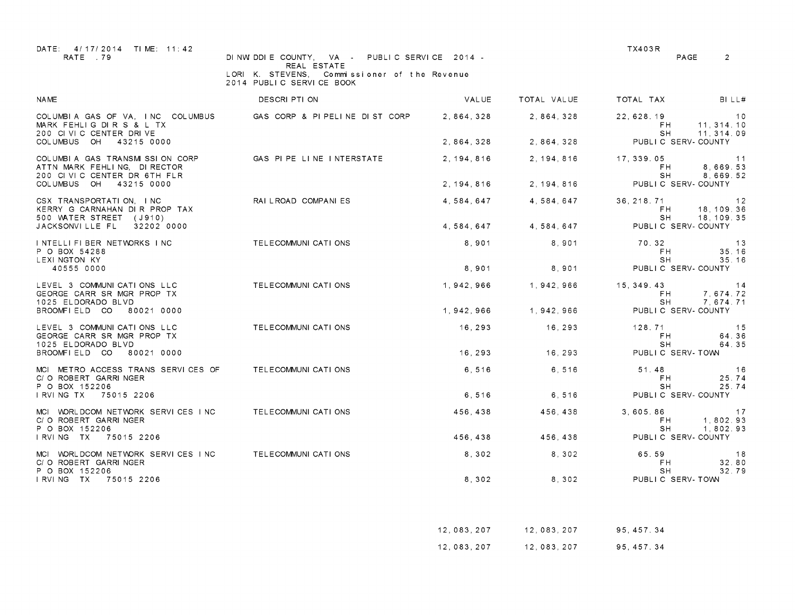| DATE: 4/17/2014 TIME: 11:42<br>RATE 79                                                       | DINWIDDIE COUNTY, VA - PUBLIC SERVICE 2014 -                                               |             |             | TX403R                          | PAGE<br>2                                     |
|----------------------------------------------------------------------------------------------|--------------------------------------------------------------------------------------------|-------------|-------------|---------------------------------|-----------------------------------------------|
|                                                                                              | REAL ESTATE<br>LORI K. STEVENS,<br>Commissioner of the Revenue<br>2014 PUBLIC SERVICE BOOK |             |             |                                 |                                               |
| <b>NAME</b>                                                                                  | DESCRI PTI ON                                                                              | VAL UE      | TOTAL VALUE | TOTAL TAX                       | BILL#                                         |
| MARK FEHLIG DIR S & L TX<br>200 CIVIC CENTER DRIVE                                           | COLUMBIA GAS OF VA, INC COLUMBUS GAS CORP & PIPELINE DIST CORP                             | 2.864.328   | 2, 864, 328 | 22, 628. 19<br>FH.<br>SH        | 10<br>11, 314, 10<br>11, 314, 09              |
| COLUMBUS OH<br>43215 0000                                                                    |                                                                                            | 2, 864, 328 | 2, 864, 328 |                                 | PUBLIC SERV-COUNTY                            |
| COLUMBIA GAS TRANSMISSION CORP<br>ATTN MARK FEHLING, DIRECTOR<br>200 CIVIC CENTER DR 6TH FLR | GAS PIPE LINE INTERSTATE                                                                   | 2.194.816   | 2.194.816   | 17.339.05<br>F H<br>SH.         | 11<br>8,669.53<br>8.669.52                    |
| COLUMBUS OH<br>43215 0000                                                                    |                                                                                            | 2, 194, 816 | 2, 194, 816 |                                 | PUBLIC SERV-COUNTY                            |
| CSX TRANSPORTATION, INC.<br>KERRY G CARNAHAN DIR PROP TAX<br>500 WATER STREET (J910)         | RAILROAD COMPANIES                                                                         | 4,584,647   | 4,584,647   | 36, 218, 71<br>FH.<br>SH.       | $\overline{12}$<br>18, 109. 36<br>18, 109, 35 |
| JACKSONVILLE FL<br>32202 0000                                                                |                                                                                            | 4,584,647   | 4,584,647   |                                 | PUBLIC SERV-COUNTY                            |
| INTELLIFIBER NETWORKS INC<br>P O BOX 54288<br>LEXI NGTON KY                                  | TELECOMMUNICATIONS                                                                         | 8.901       | 8.901       | 70.32<br>FH.<br>SH              | 13<br>35.16<br>35.16                          |
| 40555 0000                                                                                   |                                                                                            | 8,901       | 8,901       |                                 | PUBLIC SERV-COUNTY                            |
| LEVEL 3 COMMUNICATIONS LLC<br>GEORGE CARR SR MGR PROP TX<br>1025 ELDORADO BLVD               | TELECOMMUNI CATI ONS                                                                       | 1,942,966   | 1,942,966   | 15, 349. 43<br>FH.<br>SH.       | 14<br>7,674.72<br>7.674.71                    |
| BROOMFIELD CO<br>80021 0000                                                                  |                                                                                            | 1.942.966   | 1.942.966   |                                 | PUBLIC SERV-COUNTY                            |
| LEVEL 3 COMMUNICATIONS LLC<br>GEORGE CARR SR MGR PROP TX<br>1025 ELDORADO BLVD               | TELECOMMUNI CATI ONS                                                                       | 16,293      | 16,293      | 128.71<br>F <sub>H</sub><br>SH. | 15<br>64.36<br>64.35                          |
| BROOMFIELD CO 80021 0000                                                                     |                                                                                            | 16,293      | 16,293      | PUBLIC SERV-TOWN                |                                               |
| MCI METRO ACCESS TRANS SERVICES OF<br>C/O ROBERT GARRINGER<br>P O BOX 152206                 | TELECOMMUNICATIONS                                                                         | 6.516       | 6.516       | 51.48<br>F <sub>H</sub><br>SH.  | 16<br>25.74<br>25.74                          |
| I RVI NG TX 75015 2206                                                                       |                                                                                            | 6,516       | 6,516       |                                 | PUBLIC SERV-COUNTY                            |
| MCI WORLDCOM NETWORK SERVICES INC<br>C/O ROBERT GARRINGER<br>P O BOX 152206                  | TELECOMMUNICATIONS                                                                         | 456,438     | 456,438     | 3,605.86<br>FH.<br>SH.          | 17<br>1,802.93<br>1,802.93                    |
| I RVI NG TX 75015 2206                                                                       |                                                                                            | 456,438     | 456, 438    |                                 | PUBLIC SERV-COUNTY                            |
| MCI WORLDCOM NETWORK SERVICES INC<br>C/O ROBERT GARRINGER<br>P O BOX 152206                  | TELECOMMUNI CATI ONS                                                                       | 8,302       | 8,302       | 65.59<br>F <sub>H</sub><br>SH   | 18<br>32.80<br>32.79                          |
| I RVI NG TX 75015 2206                                                                       |                                                                                            | 8,302       | 8, 302      | PUBLIC SERV-TOWN                |                                               |

| 12,083,207 | 12,083,207 | 95.457.34   |
|------------|------------|-------------|
| 12,083,207 | 12,083,207 | 95, 457. 34 |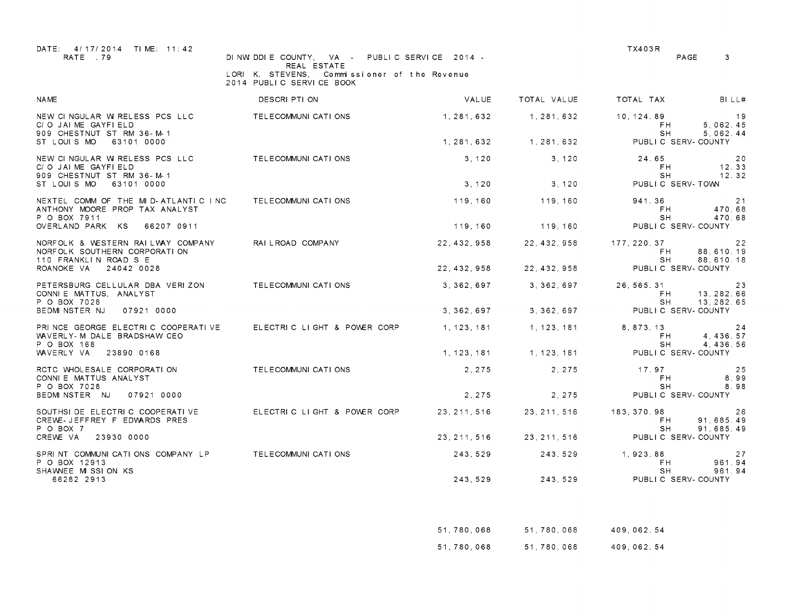| DATE: 4/17/2014 TIME: 11:42<br>RATE 79                                                     | DINWIDDIE COUNTY, VA -                                                                     | PUBLIC SERVICE 2014 - |              | <b>TX403R</b><br>PAGE              | 3                              |
|--------------------------------------------------------------------------------------------|--------------------------------------------------------------------------------------------|-----------------------|--------------|------------------------------------|--------------------------------|
|                                                                                            | REAL ESTATE<br>LORI K. STEVENS,<br>Commissioner of the Revenue<br>2014 PUBLIC SERVICE BOOK |                       |              |                                    |                                |
| <b>NAME</b>                                                                                | DESCRI PTI ON                                                                              | VALUE                 | TOTAL VALUE  | TOTAL TAX                          | BILL#                          |
| NEW CINGULAR W RELESS PCS LLC<br>C/O JAIME GAYFIELD<br>909 CHESTNUT ST RM 36-M-1           | TELECOMMUNI CATI ONS                                                                       | 1, 281, 632           | 1, 281, 632  | 10, 124, 89<br>FH.<br>SH.          | - 19<br>5,062.45<br>5.062.44   |
| ST LOUIS MO<br>63101 0000                                                                  |                                                                                            | 1.281.632             | 1, 281, 632  | PUBLIC SERV-COUNTY                 |                                |
| NEW CINGULAR W RELESS PCS LLC<br>C/O JAIME GAYFIELD<br>909 CHESTNUT ST RM 36-M-1           | TELECOMMUNI CATI ONS                                                                       | 3.120                 | 3.120        | 24.65<br>F <sub>H</sub><br>SH      | 20<br>12.33<br>12.32           |
| ST LOUIS MO<br>63101 0000                                                                  |                                                                                            | 3, 120                | 3, 120       | PUBLIC SERV-TOWN                   |                                |
| NEXTEL COMM OF THE MID-ATLANTIC INC<br>ANTHONY MOORE PROP TAX ANALYST<br>P O BOX 7911      | TELECOMMUNI CATI ONS                                                                       | 119,160               | 119,160      | 941.36<br>F <sub>H</sub><br>SH     | -21<br>470.68<br>470.68        |
| OVERLAND PARK KS<br>66207 0911                                                             |                                                                                            | 119.160               | 119,160      | PUBLIC SERV-COUNTY                 |                                |
| NORFOLK & WESTERN RAILWAY COMPANY<br>NORFOLK SOUTHERN CORPORATION<br>110 FRANKLIN ROAD S E | RAI L ROAD COMPANY                                                                         | 22, 432, 958          | 22.432.958   | 177.220.37<br>FH.<br>SH.           | 22<br>88,610.19<br>88, 610. 18 |
| ROANOKE VA<br>24042 0028                                                                   |                                                                                            | 22, 432, 958          | 22, 432, 958 | PUBLIC SERV-COUNTY                 |                                |
| PETERSBURG CELLULAR DBA VERIZON<br>CONNIE MATTUS, ANALYST<br>P O BOX 7028                  | TELECOMMUNICATIONS                                                                         | 3, 362, 697           | 3, 362, 697  | 26, 565, 31<br>FH.<br>SH           | 23<br>13, 282. 66<br>13.282.65 |
| BEDMINSTER NJ<br>07921 0000                                                                |                                                                                            | 3.362.697             | 3.362.697    | PUBLIC SERV-COUNTY                 |                                |
| PRINCE GEORGE ELECTRIC COOPERATIVE<br>WAVERLY-M DALE BRADSHAW CEO<br>P O BOX 168           | ELECTRIC LIGHT & POWER CORP                                                                | 1, 123, 181           | 1, 123, 181  | 8.873.13<br>FH.<br><b>SH</b>       | 24<br>4, 436.57<br>4.436.56    |
| WAVERLY VA<br>23890 0168                                                                   |                                                                                            | 1, 123, 181           | 1, 123, 181  | PUBLIC SERV-COUNTY                 |                                |
| RCTC WHOLESALE CORPORATION<br>CONNIE MATTUS ANALYST<br>P O BOX 7028                        | TELECOMMUNI CATI ONS                                                                       | 2, 275                | 2.275        | 17.97<br>FH.<br>SΗ                 | 25<br>8.99<br>8.98             |
| BEDMINSTER NJ<br>07921 0000                                                                |                                                                                            | 2.275                 | 2, 275       | PUBLIC SERV-COUNTY                 |                                |
| SOUTHSI DE ELECTRIC COOPERATIVE<br>CREWE-JEFFREY F EDWARDS PRES<br>P O BOX 7               | ELECTRIC LIGHT & POWER CORP                                                                | 23.211.516            | 23.211.516   | 183.370.98<br>F <sub>H</sub><br>SH | 26<br>91.685.49<br>91, 685, 49 |
| CREWE VA<br>23930 0000                                                                     |                                                                                            | 23, 211, 516          | 23, 211, 516 | PUBLIC SERV-COUNTY                 |                                |
| SPRINT COMMUNICATIONS COMPANY LP<br>P O BOX 12913<br>SHAWNEE MISSION KS                    | TELECOMMUNI CATI ONS                                                                       | 243,529               | 243, 529     | 1,923.88<br>FH.<br>SH              | 27<br>961.94<br>961.94         |
| 66282 2913                                                                                 |                                                                                            | 243, 529              | 243,529      | PUBLIC SERV-COUNTY                 |                                |

| 51,780,068 | 51,780,068 | 409,062.54 |
|------------|------------|------------|
| 51,780,068 | 51,780,068 | 409,062.54 |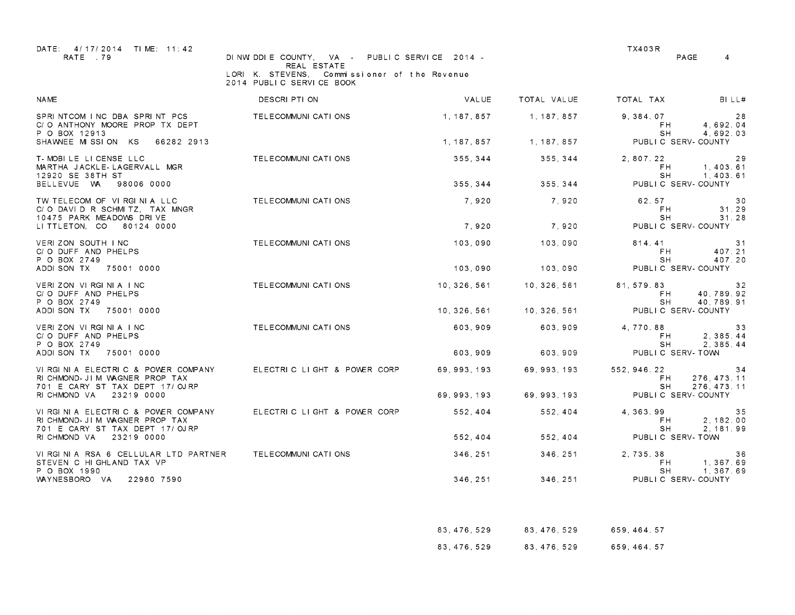| DATE: 4/17/2014 TIME: 11:42<br>RATE .79                                                               | DINWIDDIE COUNTY, VA - PUBLIC SERVICE 2014 -                                               |              |              | TX403R                     | PAGE<br>4                          |
|-------------------------------------------------------------------------------------------------------|--------------------------------------------------------------------------------------------|--------------|--------------|----------------------------|------------------------------------|
|                                                                                                       | REAL ESTATE<br>LORI K. STEVENS.<br>Commissioner of the Revenue<br>2014 PUBLIC SERVICE BOOK |              |              |                            |                                    |
| <b>NAME</b>                                                                                           | DESCRI PTI ON                                                                              | VALUE        | TOTAL VALUE  | TOTAL TAX                  | BILL#                              |
| SPRINTCOM INC DBA SPRINT PCS<br>C/O ANTHONY MOORE PROP TX DEPT<br>P O BOX 12913                       | TELECOMMUNI CATI ONS                                                                       | 1, 187, 857  | 1, 187, 857  | 9, 384.07<br>FH.<br>SH     | 28<br>4,692.04<br>4.692.03         |
| SHAWNEE MISSION KS<br>66282 2913                                                                      |                                                                                            | 1, 187, 857  | 1, 187, 857  |                            | PUBLIC SERV-COUNTY                 |
| T-MOBILE LICENSE LLC<br>MARTHA JACKLE-LAGERVALL MGR<br>12920 SE 38TH ST                               | TELECOMMUNI CATI ONS                                                                       | 355, 344     | 355.344      | 2.807.22<br>FH.<br>SH.     | 29<br>1,403.61<br>1, 403, 61       |
| BELLEVUE WA<br>98006 0000                                                                             |                                                                                            | 355, 344     | 355, 344     |                            | PUBLIC SERV-COUNTY                 |
| TW TELECOM OF VIRGINIA LLC<br>C/O DAVID R SCHMITZ, TAX MNGR<br>10475 PARK MEADOWS DRIVE               | TELECOMMUNICATIONS                                                                         | 7.920        | 7.920        | 62.57<br>FH.<br>SH.        | 30<br>31.29<br>31.28               |
| LI TTLETON. CO 80124 0000                                                                             |                                                                                            | 7,920        | 7,920        |                            | PUBLIC SERV-COUNTY                 |
| VERIZON SOUTH INC<br>C/O DUFF AND PHELPS<br>P O BOX 2749                                              | TELECOMMUNI CATI ONS                                                                       | 103.090      | 103.090      | 814.41<br>FH.<br>SH        | 31<br>407.21<br>407.20             |
| ADDI SON TX<br>75001 0000                                                                             |                                                                                            | 103,090      | 103,090      |                            | PUBLIC SERV-COUNTY                 |
| VERIZON VIRGINIA INC<br>C/O DUFF AND PHELPS<br>P O BOX 2749                                           | TELECOMMUNI CATI ONS                                                                       | 10.326.561   | 10.326.561   | 81.579.83<br>FH.<br>SH     | 32<br>40,789.92<br>40,789.91       |
| ADDI SON TX<br>75001 0000                                                                             |                                                                                            | 10, 326, 561 | 10, 326, 561 |                            | PUBLIC SERV-COUNTY                 |
| VERIZON VIRGINIA INC<br>C/O DUFF AND PHELPS<br>P O BOX 2749                                           | TELECOMMUNI CATI ONS                                                                       | 603,909      | 603,909      | 4,770.88<br>FH.<br>SH      | 33<br>2, 385.44<br>2.385.44        |
| ADDI SON TX<br>75001 0000                                                                             |                                                                                            | 603.909      | 603.909      |                            | PUBLIC SERV-TOWN                   |
| VIRGINIA ELECTRIC & POWER COMPANY<br>RI CHMOND- JIM WAGNER PROP TAX<br>701 E CARY ST TAX DEPT 17/OJRP | ELECTRIC LIGHT & POWER CORP                                                                | 69, 993, 193 | 69, 993, 193 | 552, 946. 22<br>FH.<br>SH. | 34<br>276, 473. 11<br>276, 473. 11 |
| RI CHMOND VA<br>23219 0000                                                                            |                                                                                            | 69, 993, 193 | 69, 993, 193 |                            | PUBLIC SERV-COUNTY                 |
| VIRGINIA ELECTRIC & POWER COMPANY<br>RICHMOND-JIM WAGNER PROP TAX<br>701 E CARY ST TAX DEPT 17/OJRP   | ELECTRIC LIGHT & POWER CORP                                                                | 552,404      | 552, 404     | 4, 363, 99<br>FH.<br>SH    | 35<br>2, 182.00<br>2.181.99        |
| 23219 0000<br>RI CHMOND VA                                                                            |                                                                                            | 552,404      | 552,404      |                            | PUBLIC SERV-TOWN                   |
| VIRGINIA RSA 6 CELLULAR LTD PARTNER<br>STEVEN C HIGHLAND TAX VP<br>P O BOX 1990                       | TELECOMMUNI CATI ONS                                                                       | 346, 251     | 346, 251     | 2,735.38<br>FH.<br>SH.     | 36<br>1, 367.69<br>1, 367, 69      |
| WAYNESBORO VA<br>22980 7590                                                                           |                                                                                            | 346, 251     | 346, 251     |                            | PUBLIC SERV-COUNTY                 |

| 83, 476, 529 | 83, 476, 529 | 659.464.57   |
|--------------|--------------|--------------|
| 83, 476, 529 | 83.476.529   | 659, 464. 57 |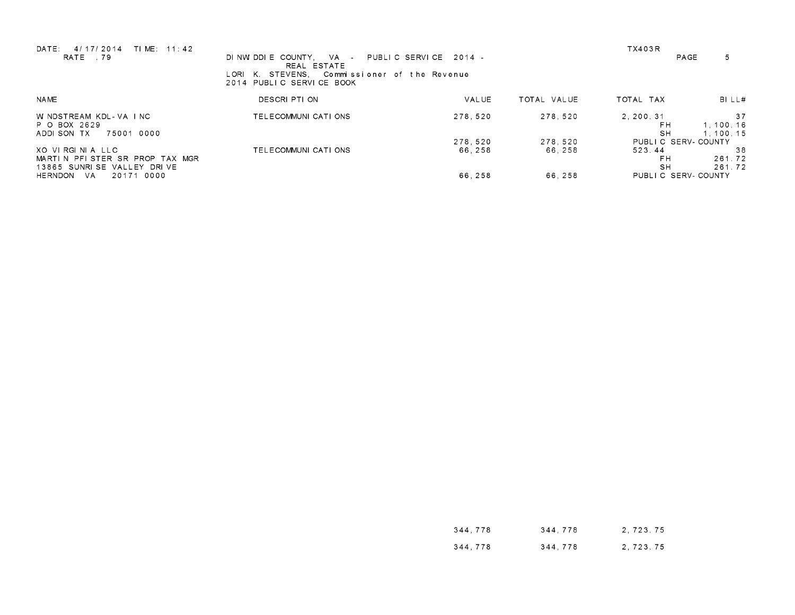| TIME: 11:42<br>DATE:<br>4/17/2014<br>RATE 79                                                                       | DINWIDDIE COUNTY. VA PUBLIC SERVICE 2014 -<br>REAL ESTATE<br>LORI K. STEVENS.<br>Commissioner of the Revenue<br>2014 PUBLIC SERVICE BOOK |                             |                             | <b>TX403R</b>                                                         | 5<br>PAGE                  |
|--------------------------------------------------------------------------------------------------------------------|------------------------------------------------------------------------------------------------------------------------------------------|-----------------------------|-----------------------------|-----------------------------------------------------------------------|----------------------------|
| <b>NAME</b>                                                                                                        | DESCRI PTI ON                                                                                                                            | VAL UE                      | TOTAL VALUE                 | TOTAL TAX                                                             | BI LL#                     |
| W NDSTREAM KDL-VA INC<br>P O BOX 2629<br>75001 0000<br>ADDI SON TX                                                 | TELECOMMUNI CATI ONS                                                                                                                     | 278.520                     | 278.520                     | 2.200.31<br>FH<br><b>SH</b>                                           | 37<br>1.100.16<br>1.100.15 |
| XOVIRGINIA LLC<br>MARTIN PFISTER SR PROP TAX MGR<br>13865 SUNRISE VALLEY DRIVE<br>0000<br>HERNDON<br>- VA<br>20171 | TELECOMMUNICATIONS                                                                                                                       | 278.520<br>66.258<br>66,258 | 278.520<br>66.258<br>66.258 | PUBLIC SERV-COUNTY<br>523.44<br>FH<br><b>SH</b><br>PUBLIC SERV-COUNTY | -38<br>261.72<br>261.72    |

| 344.778 | 344.778 | 2, 723, 75 |
|---------|---------|------------|
| 344,778 | 344.778 | 2, 723. 75 |